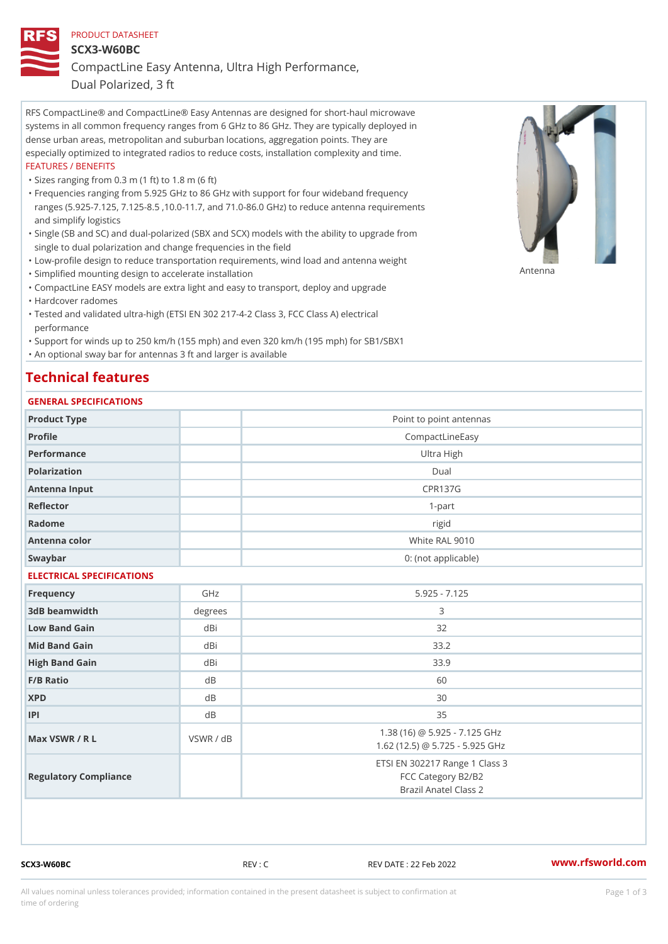#### PRODUCT DATASHEET

SCX3-W60BC

CompactLine Easy Antenna, Ultra High Performance,

Dual Polarized, 3 ft

RFS CompactLine® and CompactLine® Easy Antennas are designed for short-haul microwave systems in all common frequency ranges from 6 GHz to 86 GHz. They are typically deployed in dense urban areas, metropolitan and suburban locations, aggregation points. They are especially optimized to integrated radios to reduce costs, installation complexity and time. FEATURES / BENEFITS

"Sizes ranging from 0.3 m (1 ft) to 1.8 m (6 ft)

- Frequencies ranging from 5.925 GHz to 86 GHz with support for four wideband frequency " ranges (5.925-7.125, 7.125-8.5 ,10.0-11.7, and 71.0-86.0 GHz) to reduce antenna requirements and simplify logistics
- Single (SB and SC) and dual-polarized (SBX and SCX) models with the ability to upgrade from " single to dual polarization and change frequencies in the field
- "Low-profile design to reduce transportation requirements, wind load and antenna weight
- "Simplified mounting design to accelerate installation

 "CompactLine EASY models are extra light and easy to transport, deploy and upgrade "Hardcover radomes

Tested and validated ultra-high (ETSI EN 302 217-4-2 Class 3, FCC Class A) electrical " performance

 "Support for winds up to 250 km/h (155 mph) and even 320 km/h (195 mph) for SB1/SBX1 "An optional sway bar for antennas 3 ft and larger is available

## Technical features

### GENERAL SPECIFICATIONS

| Product Type              |           | Point to point antennas                                                       |
|---------------------------|-----------|-------------------------------------------------------------------------------|
| Profile                   |           | CompactLineEasy                                                               |
| Performance               |           | Ultra High                                                                    |
| Polarization              |           | $D$ ual                                                                       |
| Antenna Input             |           | <b>CPR137G</b>                                                                |
| Reflector                 |           | $1 - p$ art                                                                   |
| Radome                    |           | rigid                                                                         |
| Antenna color             |           | White RAL 9010                                                                |
| Swaybar                   |           | 0: (not applicable)                                                           |
| ELECTRICAL SPECIFICATIONS |           |                                                                               |
| Frequency                 | GHz       | $5.925 - 7.125$                                                               |
| 3dB beamwidth             | degree    | 3                                                                             |
| Low Band Gain             | dBi       | 32                                                                            |
| Mid Band Gain             | dBi       | 33.2                                                                          |
| High Band Gain            | dBi       | 33.9                                                                          |
| F/B Ratio                 | $d$ B     | 60                                                                            |
| <b>XPD</b>                | d B       | 30                                                                            |
| P                         | $d$ B     | 35                                                                            |
| Max VSWR / R L            | VSWR / dB | 1.38 (16) @ 5.925 - 7.125 GHz<br>1.62 (12.5) @ 5.725 - 5.925 GHz              |
| Regulatory Compliance     |           | ETSI EN 302217 Range 1 Class 3<br>FCC Category B2/B2<br>Brazil Anatel Class 2 |

SCX3-W60BC REV : C REV DATE : 22 Feb 2022 [www.](https://www.rfsworld.com)rfsworld.com

Antenna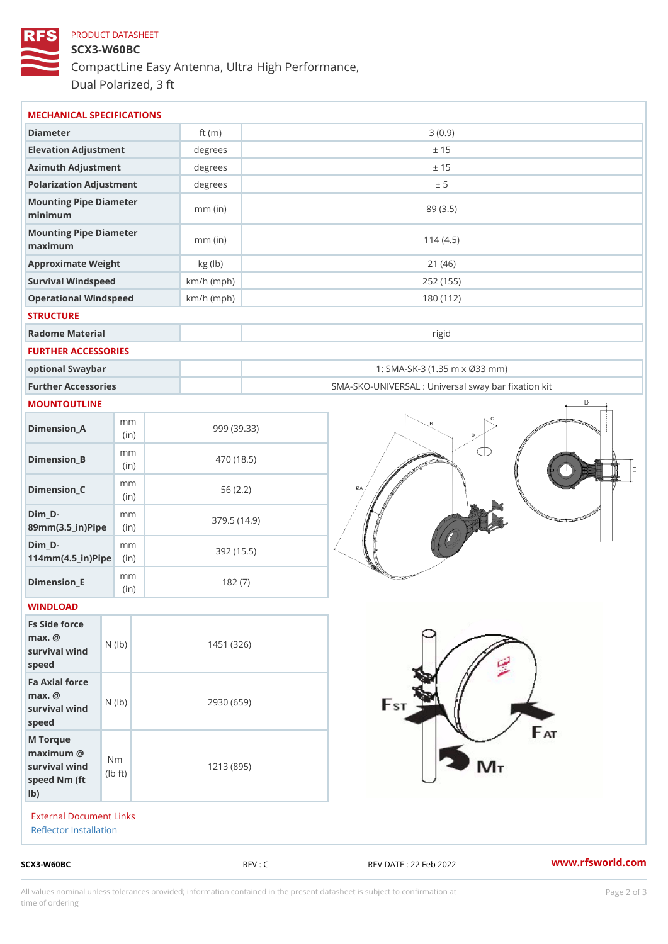# PRODUCT DATASHEET SCX3-W60BC CompactLine Easy Antenna, Ultra High Performance, Dual Polarized, 3 ft

| $SCX3-W60BC$                                                                                |                                       |                         | REV : C     | www.rfsworld.co<br>REV DATE : 22 Feb 2022         |
|---------------------------------------------------------------------------------------------|---------------------------------------|-------------------------|-------------|---------------------------------------------------|
| External Document Links<br>Reflector Installation                                           |                                       |                         |             |                                                   |
| M Torque<br>$maximum$ @<br>survival wind<br>speed Nm (ft<br>$1b$ )                          | N <sub>m</sub><br>$\dagger$ t)<br>l b |                         | 1213 (895)  |                                                   |
| $max.$ @<br>survival wind (1b)<br>speed                                                     |                                       |                         | 2930 (659)  |                                                   |
| survival wind $\begin{pmatrix} N & (I b) \\ P & P \end{pmatrix}$<br>speed<br>Fa Axial force |                                       |                         | 1451 (326)  |                                                   |
| Fs Side force<br>$max.$ @                                                                   |                                       |                         |             |                                                   |
| $Dimension$ _ $E$<br>WINDLOAD                                                               | m m<br>(in)                           |                         | 182(7)      |                                                   |
| $Dim_D -$<br>$114$ m m $(4.5$ ir $)$ $\sqrt{$ ii $\sqrt{p}}$ $\ge$                          | m m                                   |                         | 392 (15.5)  |                                                   |
| $Dim_D - D -$<br>89mm (3.5_in) Pi(pine                                                      | m m                                   |                         | 379.5(14.9) |                                                   |
| $Dimension_C$                                                                               | m m<br>(in)                           |                         | 56(2.2)     |                                                   |
| $Dimension_B$                                                                               | m m<br>(in)                           |                         | 470 (18.5)  |                                                   |
| $Dimension_A$                                                                               | m m<br>(in)                           |                         | 999 (39.33) |                                                   |
| MOUNTOUTLINE                                                                                |                                       |                         |             |                                                   |
| Further Accessories                                                                         |                                       |                         |             | SMA-SKO-UNIVERSAL : Universal sway bar fixation l |
| optional Swaybar                                                                            |                                       |                         |             | 1: SMA-SK-3 (1.35 m x Ø33 mm)                     |
| FURTHER ACCESSORIES                                                                         |                                       |                         |             |                                                   |
| Radome Material                                                                             |                                       |                         |             | rigid                                             |
| <b>STRUCTURE</b>                                                                            |                                       |                         |             |                                                   |
| Operational Windspeed                                                                       |                                       | $km/h$ (mph)            |             | 252 (155)<br>180 (112)                            |
| Approximate Weight<br>Survival Windspeed                                                    |                                       | kg (lb)<br>$km/h$ (mph) | 21(46)      |                                                   |
| Mounting Pipe Diameter<br>maximum                                                           |                                       | $mm$ (in)               | 114(4.5)    |                                                   |
| Mounting Pipe Diameter<br>minimum                                                           |                                       | $mm$ (in)               | 89 (3.5)    |                                                   |
| Polarization Adjustment                                                                     |                                       | degrees                 | ± 5         |                                                   |
| Azimuth Adjustment                                                                          |                                       | degree:                 | ± 15        |                                                   |
|                                                                                             |                                       | $degree$ :              | ± 15        |                                                   |
| Elevation Adjustment                                                                        |                                       |                         |             |                                                   |

All values nominal unless tolerances provided; information contained in the present datasheet is subject to Pcapgelio an atio time of ordering